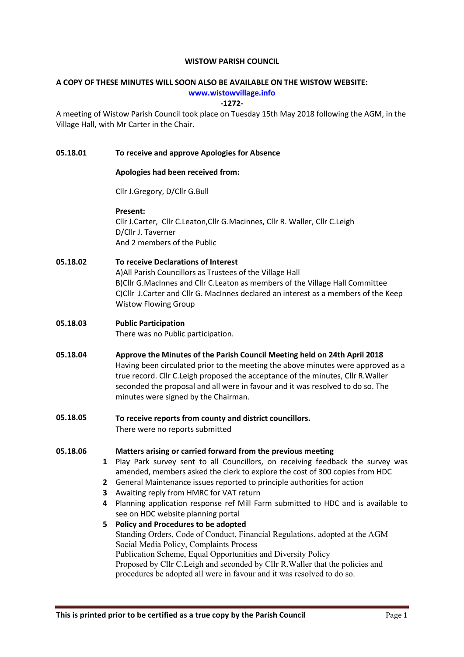#### WISTOW PARISH COUNCIL

# A COPY OF THESE MINUTES WILL SOON ALSO BE AVAILABLE ON THE WISTOW WEBSITE:

www.wistowvillage.info

-1272-

A meeting of Wistow Parish Council took place on Tuesday 15th May 2018 following the AGM, in the Village Hall, with Mr Carter in the Chair.

## 05.18.01 To receive and approve Apologies for Absence

#### Apologies had been received from:

Cllr J.Gregory, D/Cllr G.Bull

#### Present:

Cllr J.Carter, Cllr C.Leaton,Cllr G.Macinnes, Cllr R. Waller, Cllr C.Leigh D/Cllr J. Taverner And 2 members of the Public

## 05.18.02 To receive Declarations of Interest

A)All Parish Councillors as Trustees of the Village Hall B)Cllr G.MacInnes and Cllr C.Leaton as members of the Village Hall Committee C)Cllr J.Carter and Cllr G. MacInnes declared an interest as a members of the Keep Wistow Flowing Group

# 05.18.03 Public Participation

There was no Public participation.

- 05.18.04 Approve the Minutes of the Parish Council Meeting held on 24th April 2018 Having been circulated prior to the meeting the above minutes were approved as a true record. Cllr C.Leigh proposed the acceptance of the minutes, Cllr R.Waller seconded the proposal and all were in favour and it was resolved to do so. The minutes were signed by the Chairman.
- 05.18.05 To receive reports from county and district councillors. There were no reports submitted

#### 05.18.06 Matters arising or carried forward from the previous meeting

- 1 Play Park survey sent to all Councillors, on receiving feedback the survey was amended, members asked the clerk to explore the cost of 300 copies from HDC
- 2 General Maintenance issues reported to principle authorities for action
- 3 Awaiting reply from HMRC for VAT return
- 4 Planning application response ref Mill Farm submitted to HDC and is available to see on HDC website planning portal

## 5 Policy and Procedures to be adopted Standing Orders, Code of Conduct, Financial Regulations, adopted at the AGM Social Media Policy, Complaints Process Publication Scheme, Equal Opportunities and Diversity Policy Proposed by Cllr C.Leigh and seconded by Cllr R.Waller that the policies and procedures be adopted all were in favour and it was resolved to do so.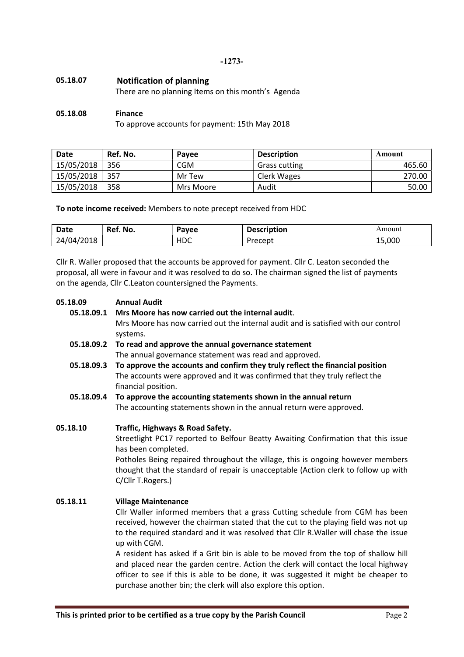-1273-

# 05.18.07 Notification of planning

There are no planning Items on this month's Agenda

### 05.18.08 Finance

To approve accounts for payment: 15th May 2018

| Date       | Ref. No. | Pavee      | <b>Description</b>   | Amount |
|------------|----------|------------|----------------------|--------|
| 15/05/2018 | 356      | <b>CGM</b> | <b>Grass cutting</b> | 465.60 |
| 15/05/2018 | 357      | Mr Tew     | Clerk Wages          | 270.00 |
| 15/05/2018 | 358      | Mrs Moore  | Audit                | 50.00  |

To note income received: Members to note precept received from HDC

| Date            | Ref. No. | Payee                           | .<br>escription<br>Desc. | Amount |
|-----------------|----------|---------------------------------|--------------------------|--------|
| /2018<br>24/04/ |          | $\overline{\phantom{a}}$<br>רו⊦ | Precept                  | 15,000 |

Cllr R. Waller proposed that the accounts be approved for payment. Cllr C. Leaton seconded the proposal, all were in favour and it was resolved to do so. The chairman signed the list of payments on the agenda, Cllr C.Leaton countersigned the Payments.

| 05.18.09   | <b>Annual Audit</b>                                                                                |  |  |
|------------|----------------------------------------------------------------------------------------------------|--|--|
| 05.18.09.1 | Mrs Moore has now carried out the internal audit.                                                  |  |  |
|            | Mrs Moore has now carried out the internal audit and is satisfied with our control                 |  |  |
|            | systems.                                                                                           |  |  |
| 05.18.09.2 | To read and approve the annual governance statement                                                |  |  |
|            | The annual governance statement was read and approved.                                             |  |  |
| 05.18.09.3 | To approve the accounts and confirm they truly reflect the financial position                      |  |  |
|            | The accounts were approved and it was confirmed that they truly reflect the<br>financial position. |  |  |
| 05.18.09.4 | To approve the accounting statements shown in the annual return                                    |  |  |
|            | The accounting statements shown in the annual return were approved.                                |  |  |
|            |                                                                                                    |  |  |
| 05.18.10   | Traffic, Highways & Road Safety.                                                                   |  |  |
|            | Streetlight PC17 reported to Belfour Beatty Awaiting Confirmation that this issue                  |  |  |
|            | has been completed.                                                                                |  |  |
|            | Potholes Being repaired throughout the village, this is ongoing however members                    |  |  |
|            | thought that the standard of repair is unacceptable (Action clerk to follow up with                |  |  |
|            | C/Cllr T.Rogers.)                                                                                  |  |  |
|            |                                                                                                    |  |  |
| 05.18.11   | <b>Village Maintenance</b>                                                                         |  |  |
|            | Cllr Waller informed members that a grass Cutting schedule from CGM has been                       |  |  |
|            | received, however the chairman stated that the cut to the playing field was not up                 |  |  |
|            | to the required standard and it was resolved that CIIr R. Waller will chase the issue              |  |  |
|            | up with CGM.                                                                                       |  |  |
|            | A resident has asked if a Grit bin is able to be moved from the top of shallow hill                |  |  |
|            | and placed near the garden centre. Action the clerk will contact the local highway                 |  |  |
|            | officer to see if this is able to be done, it was suggested it might be cheaper to                 |  |  |
|            | purchase another bin; the clerk will also explore this option.                                     |  |  |